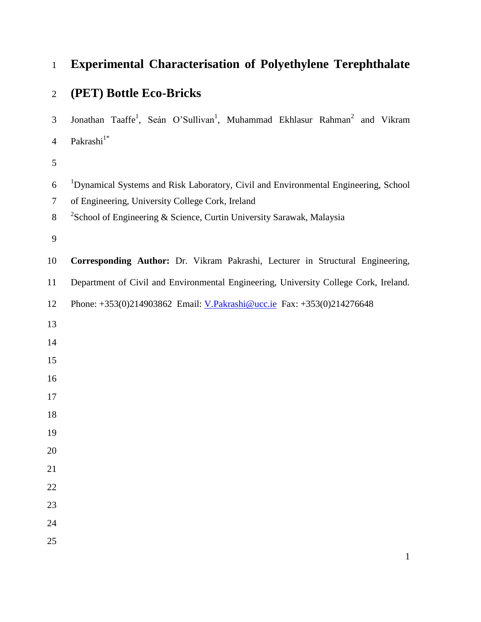# **Experimental Characterisation of Polyethylene Terephthalate**

# **(PET) Bottle Eco-Bricks**

3 Jonathan Taaffe<sup>1</sup>, Seán O'Sullivan<sup>1</sup>, Muhammad Ekhlasur Rahman<sup>2</sup> and Vikram Pakrashi $1^*$ 

- 6 <sup>1</sup>Dynamical Systems and Risk Laboratory, Civil and Environmental Engineering, School
- of Engineering, University College Cork, Ireland
- 8 <sup>2</sup>School of Engineering & Science, Curtin University Sarawak, Malaysia

**Corresponding Author:** Dr. Vikram Pakrashi, Lecturer in Structural Engineering,

Department of Civil and Environmental Engineering, University College Cork, Ireland.

- Phone: +353(0)214903862 Email: [V.Pakrashi@ucc.ie](mailto:V.Pakrashi@ucc.ie) Fax: +353(0)214276648
- 
- 
- 
- 
- 
- 
- 
- 
- 
-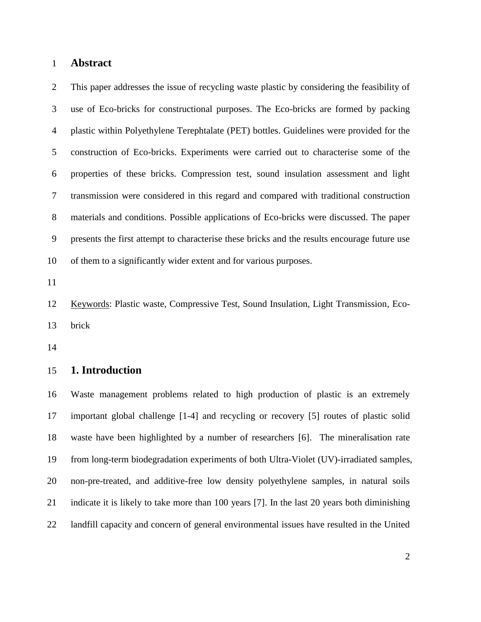#### **Abstract**

 This paper addresses the issue of recycling waste plastic by considering the feasibility of use of Eco-bricks for constructional purposes. The Eco-bricks are formed by packing plastic within Polyethylene Terephtalate (PET) bottles. Guidelines were provided for the construction of Eco-bricks. Experiments were carried out to characterise some of the properties of these bricks. Compression test, sound insulation assessment and light transmission were considered in this regard and compared with traditional construction materials and conditions. Possible applications of Eco-bricks were discussed. The paper presents the first attempt to characterise these bricks and the results encourage future use of them to a significantly wider extent and for various purposes.

 Keywords: Plastic waste, Compressive Test, Sound Insulation, Light Transmission, Eco-brick

#### **1. Introduction**

 Waste management problems related to high production of plastic is an extremely important global challenge [1-4] and recycling or recovery [5] routes of plastic solid waste have been highlighted by a number of researchers [6]. The mineralisation rate from long-term biodegradation experiments of both Ultra-Violet (UV)-irradiated samples, non-pre-treated, and additive-free low density polyethylene samples, in natural soils indicate it is likely to take more than 100 years [7]. In the last 20 years both diminishing landfill capacity and concern of general environmental issues have resulted in the United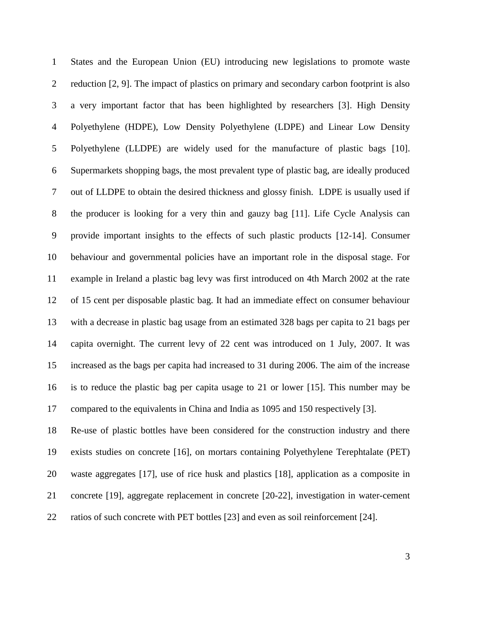States and the European Union (EU) introducing new legislations to promote waste reduction [2, 9]. The impact of plastics on primary and secondary carbon footprint is also a very important factor that has been highlighted by researchers [3]. High Density Polyethylene (HDPE), Low Density Polyethylene (LDPE) and Linear Low Density Polyethylene (LLDPE) are widely used for the manufacture of plastic bags [10]. Supermarkets shopping bags, the most prevalent type of plastic bag, are ideally produced out of LLDPE to obtain the desired thickness and glossy finish. LDPE is usually used if the producer is looking for a very thin and gauzy bag [11]. Life Cycle Analysis can provide important insights to the effects of such plastic products [12-14]. Consumer behaviour and governmental policies have an important role in the disposal stage. For example in Ireland a plastic bag levy was first introduced on 4th March 2002 at the rate of 15 cent per disposable plastic bag. It had an immediate effect on consumer behaviour with a decrease in plastic bag usage from an estimated 328 bags per capita to 21 bags per capita overnight. The current levy of 22 cent was introduced on 1 July, 2007. It was increased as the bags per capita had increased to 31 during 2006. The aim of the increase is to reduce the plastic bag per capita usage to 21 or lower [15]. This number may be compared to the equivalents in China and India as 1095 and 150 respectively [3].

 Re-use of plastic bottles have been considered for the construction industry and there exists studies on concrete [16], on mortars containing Polyethylene Terephtalate (PET) waste aggregates [17], use of rice husk and plastics [18], application as a composite in concrete [19], aggregate replacement in concrete [20-22], investigation in water-cement ratios of such concrete with PET bottles [23] and even as soil reinforcement [24].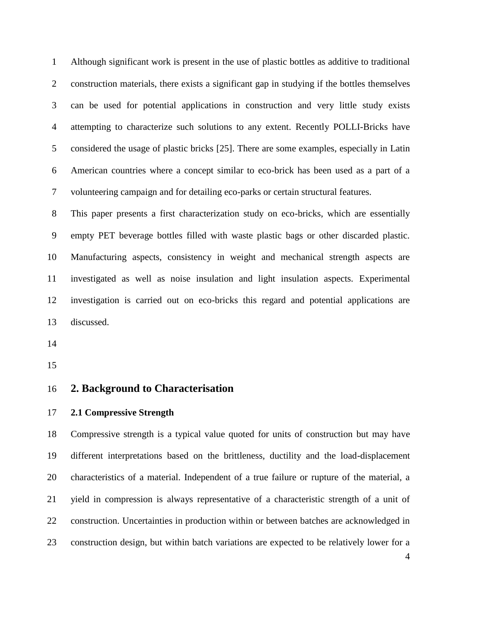Although significant work is present in the use of plastic bottles as additive to traditional construction materials, there exists a significant gap in studying if the bottles themselves can be used for potential applications in construction and very little study exists attempting to characterize such solutions to any extent. Recently POLLI-Bricks have considered the usage of plastic bricks [25]. There are some examples, especially in Latin American countries where a concept similar to eco-brick has been used as a part of a volunteering campaign and for detailing eco-parks or certain structural features.

 This paper presents a first characterization study on eco-bricks, which are essentially empty PET beverage bottles filled with waste plastic bags or other discarded plastic. Manufacturing aspects, consistency in weight and mechanical strength aspects are investigated as well as noise insulation and light insulation aspects. Experimental investigation is carried out on eco-bricks this regard and potential applications are discussed.

#### **2. Background to Characterisation**

#### **2.1 Compressive Strength**

 Compressive strength is a typical value quoted for units of construction but may have different interpretations based on the brittleness, ductility and the load-displacement characteristics of a material. Independent of a true failure or rupture of the material, a yield in compression is always representative of a characteristic strength of a unit of construction. Uncertainties in production within or between batches are acknowledged in construction design, but within batch variations are expected to be relatively lower for a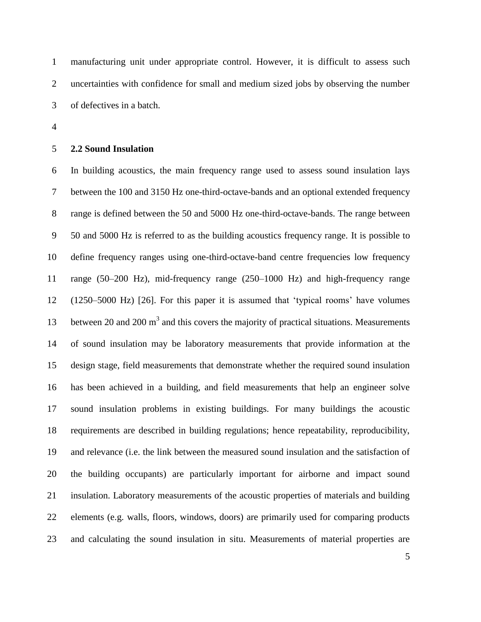manufacturing unit under appropriate control. However, it is difficult to assess such uncertainties with confidence for small and medium sized jobs by observing the number of defectives in a batch.

#### **2.2 Sound Insulation**

 In building acoustics, the main frequency range used to assess sound insulation lays between the 100 and 3150 Hz one-third-octave-bands and an optional extended frequency range is defined between the 50 and 5000 Hz one-third-octave-bands. The range between 50 and 5000 Hz is referred to as the building acoustics frequency range. It is possible to define frequency ranges using one-third-octave-band centre frequencies low frequency range (50–200 Hz), mid-frequency range (250–1000 Hz) and high-frequency range (1250–5000 Hz) [26]. For this paper it is assumed that 'typical rooms' have volumes 13 between 20 and 200  $m<sup>3</sup>$  and this covers the majority of practical situations. Measurements of sound insulation may be laboratory measurements that provide information at the design stage, field measurements that demonstrate whether the required sound insulation has been achieved in a building, and field measurements that help an engineer solve sound insulation problems in existing buildings. For many buildings the acoustic requirements are described in building regulations; hence repeatability, reproducibility, and relevance (i.e. the link between the measured sound insulation and the satisfaction of the building occupants) are particularly important for airborne and impact sound insulation. Laboratory measurements of the acoustic properties of materials and building elements (e.g. walls, floors, windows, doors) are primarily used for comparing products and calculating the sound insulation in situ. Measurements of material properties are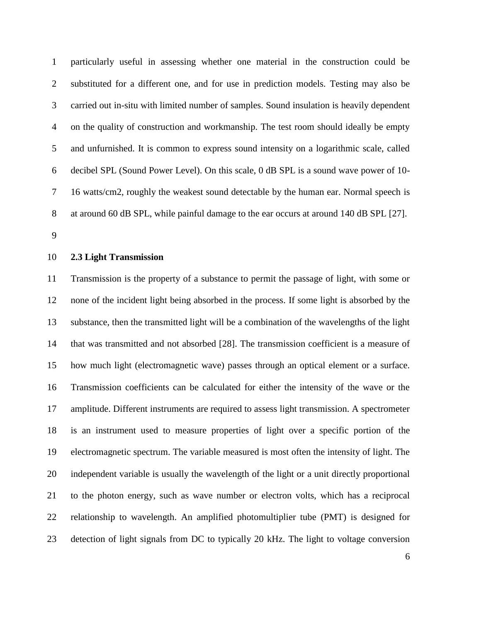particularly useful in assessing whether one material in the construction could be substituted for a different one, and for use in prediction models. Testing may also be carried out in-situ with limited number of samples. Sound insulation is heavily dependent on the quality of construction and workmanship. The test room should ideally be empty and unfurnished. It is common to express sound intensity on a logarithmic scale, called decibel SPL (Sound Power Level). On this scale, 0 dB SPL is a sound wave power of 10- 16 watts/cm2, roughly the weakest sound detectable by the human ear. Normal speech is at around 60 dB SPL, while painful damage to the ear occurs at around 140 dB SPL [27].

#### **2.3 Light Transmission**

 Transmission is the property of a substance to permit the passage of light, with some or none of the incident light being absorbed in the process. If some light is absorbed by the substance, then the transmitted light will be a combination of the wavelengths of the light that was transmitted and not absorbed [28]. The transmission coefficient is a measure of how much light (electromagnetic wave) passes through an optical element or a surface. Transmission coefficients can be calculated for either the intensity of the wave or the amplitude. Different instruments are required to assess light transmission. A spectrometer is an instrument used to measure properties of light over a specific portion of the electromagnetic spectrum. The variable measured is most often the intensity of light. The independent variable is usually the wavelength of the light or a unit directly proportional to the photon energy, such as wave number or electron volts, which has a reciprocal relationship to wavelength. An amplified photomultiplier tube (PMT) is designed for detection of light signals from DC to typically 20 kHz. The light to voltage conversion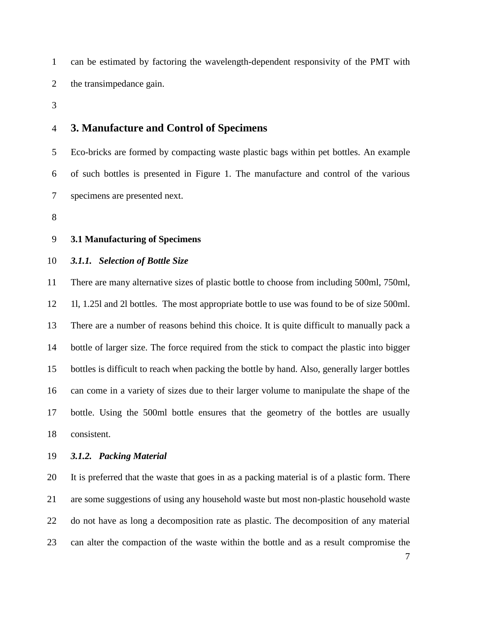can be estimated by factoring the wavelength-dependent responsivity of the PMT with the transimpedance gain.

## **3. Manufacture and Control of Specimens**

 Eco-bricks are formed by compacting waste plastic bags within pet bottles. An example of such bottles is presented in Figure 1. The manufacture and control of the various specimens are presented next.

#### **3.1 Manufacturing of Specimens**

*3.1.1. Selection of Bottle Size*

 There are many alternative sizes of plastic bottle to choose from including 500ml, 750ml, 1l, 1.25l and 2l bottles. The most appropriate bottle to use was found to be of size 500ml. There are a number of reasons behind this choice. It is quite difficult to manually pack a bottle of larger size. The force required from the stick to compact the plastic into bigger bottles is difficult to reach when packing the bottle by hand. Also, generally larger bottles can come in a variety of sizes due to their larger volume to manipulate the shape of the bottle. Using the 500ml bottle ensures that the geometry of the bottles are usually consistent.

# *3.1.2. Packing Material*

 It is preferred that the waste that goes in as a packing material is of a plastic form. There are some suggestions of using any household waste but most non-plastic household waste do not have as long a decomposition rate as plastic. The decomposition of any material can alter the compaction of the waste within the bottle and as a result compromise the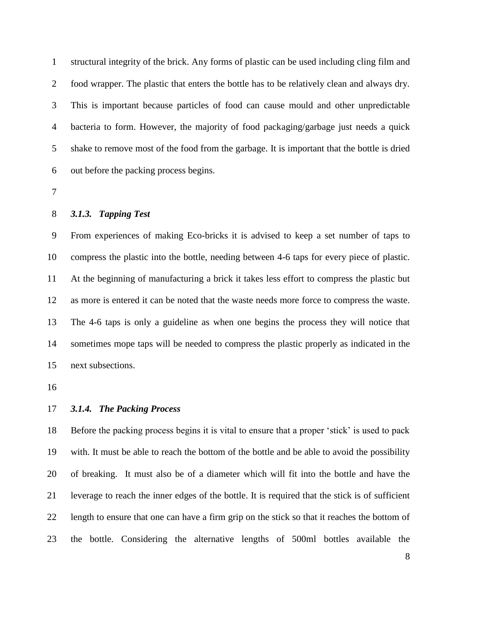structural integrity of the brick. Any forms of plastic can be used including cling film and food wrapper. The plastic that enters the bottle has to be relatively clean and always dry. This is important because particles of food can cause mould and other unpredictable bacteria to form. However, the majority of food packaging/garbage just needs a quick shake to remove most of the food from the garbage. It is important that the bottle is dried out before the packing process begins.

#### *3.1.3. Tapping Test*

 From experiences of making Eco-bricks it is advised to keep a set number of taps to compress the plastic into the bottle, needing between 4-6 taps for every piece of plastic. At the beginning of manufacturing a brick it takes less effort to compress the plastic but as more is entered it can be noted that the waste needs more force to compress the waste. The 4-6 taps is only a guideline as when one begins the process they will notice that sometimes mope taps will be needed to compress the plastic properly as indicated in the next subsections.

#### *3.1.4. The Packing Process*

 Before the packing process begins it is vital to ensure that a proper 'stick' is used to pack with. It must be able to reach the bottom of the bottle and be able to avoid the possibility of breaking. It must also be of a diameter which will fit into the bottle and have the leverage to reach the inner edges of the bottle. It is required that the stick is of sufficient length to ensure that one can have a firm grip on the stick so that it reaches the bottom of the bottle. Considering the alternative lengths of 500ml bottles available the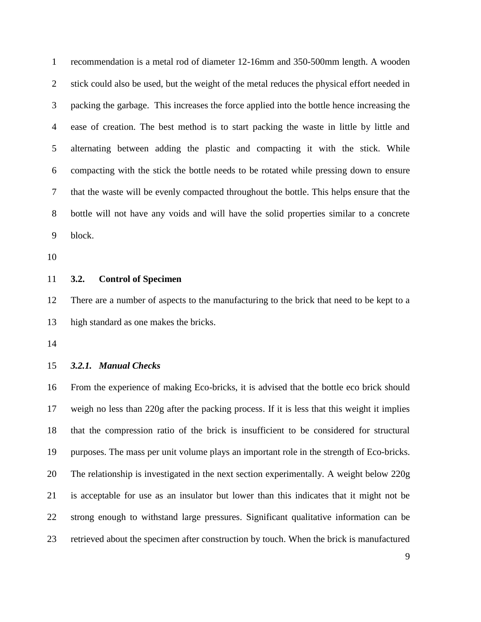recommendation is a metal rod of diameter 12-16mm and 350-500mm length. A wooden 2 stick could also be used, but the weight of the metal reduces the physical effort needed in packing the garbage. This increases the force applied into the bottle hence increasing the ease of creation. The best method is to start packing the waste in little by little and alternating between adding the plastic and compacting it with the stick. While compacting with the stick the bottle needs to be rotated while pressing down to ensure that the waste will be evenly compacted throughout the bottle. This helps ensure that the bottle will not have any voids and will have the solid properties similar to a concrete block.

#### **3.2. Control of Specimen**

 There are a number of aspects to the manufacturing to the brick that need to be kept to a high standard as one makes the bricks.

#### *3.2.1. Manual Checks*

 From the experience of making Eco-bricks, it is advised that the bottle eco brick should weigh no less than 220g after the packing process. If it is less that this weight it implies that the compression ratio of the brick is insufficient to be considered for structural purposes. The mass per unit volume plays an important role in the strength of Eco-bricks. The relationship is investigated in the next section experimentally. A weight below 220g is acceptable for use as an insulator but lower than this indicates that it might not be strong enough to withstand large pressures. Significant qualitative information can be retrieved about the specimen after construction by touch. When the brick is manufactured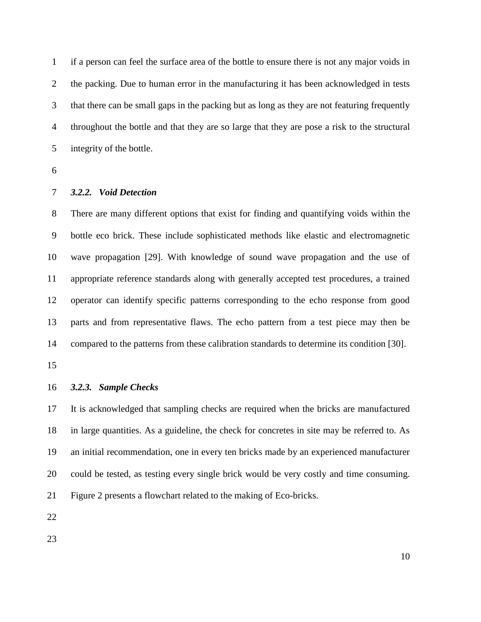if a person can feel the surface area of the bottle to ensure there is not any major voids in the packing. Due to human error in the manufacturing it has been acknowledged in tests that there can be small gaps in the packing but as long as they are not featuring frequently throughout the bottle and that they are so large that they are pose a risk to the structural integrity of the bottle.

#### *3.2.2. Void Detection*

 There are many different options that exist for finding and quantifying voids within the bottle eco brick. These include sophisticated methods like elastic and electromagnetic wave propagation [29]. With knowledge of sound wave propagation and the use of appropriate reference standards along with generally accepted test procedures, a trained operator can identify specific patterns corresponding to the echo response from good parts and from representative flaws. The echo pattern from a test piece may then be compared to the patterns from these calibration standards to determine its condition [30].

#### *3.2.3. Sample Checks*

 It is acknowledged that sampling checks are required when the bricks are manufactured in large quantities. As a guideline, the check for concretes in site may be referred to. As an initial recommendation, one in every ten bricks made by an experienced manufacturer could be tested, as testing every single brick would be very costly and time consuming. Figure 2 presents a flowchart related to the making of Eco-bricks.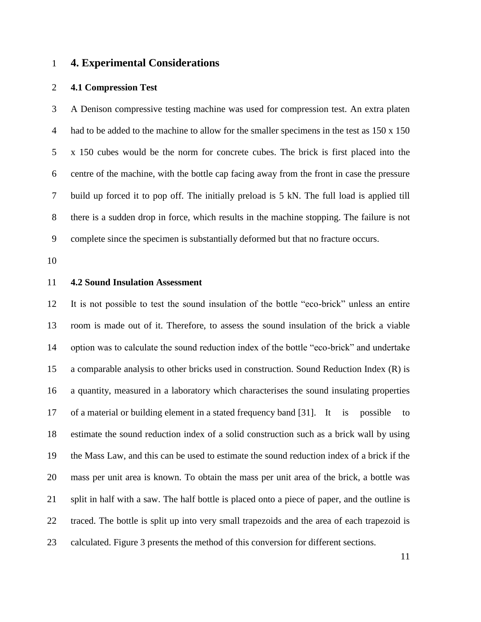# **4. Experimental Considerations**

#### **4.1 Compression Test**

 A Denison compressive testing machine was used for compression test. An extra platen 4 had to be added to the machine to allow for the smaller specimens in the test as  $150 \times 150$  x 150 cubes would be the norm for concrete cubes. The brick is first placed into the centre of the machine, with the bottle cap facing away from the front in case the pressure build up forced it to pop off. The initially preload is 5 kN. The full load is applied till there is a sudden drop in force, which results in the machine stopping. The failure is not complete since the specimen is substantially deformed but that no fracture occurs.

#### **4.2 Sound Insulation Assessment**

 It is not possible to test the sound insulation of the bottle "eco-brick" unless an entire room is made out of it. Therefore, to assess the sound insulation of the brick a viable option was to calculate the sound reduction index of the bottle "eco-brick" and undertake a comparable analysis to other bricks used in construction. Sound Reduction Index (R) is a quantity, measured in a laboratory which characterises the sound insulating properties of a material or building element in a stated frequency band [31]. It is possible to estimate the sound reduction index of a solid construction such as a brick wall by using the Mass Law, and this can be used to estimate the sound reduction index of a brick if the mass per unit area is known. To obtain the mass per unit area of the brick, a bottle was split in half with a saw. The half bottle is placed onto a piece of paper, and the outline is traced. The bottle is split up into very small trapezoids and the area of each trapezoid is calculated. Figure 3 presents the method of this conversion for different sections.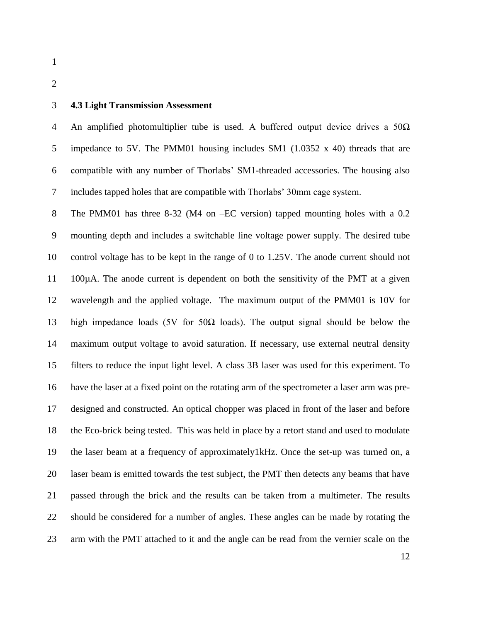#### **4.3 Light Transmission Assessment**

4 An amplified photomultiplier tube is used. A buffered output device drives a  $50\Omega$  impedance to 5V. The PMM01 housing includes SM1 (1.0352 x 40) threads that are compatible with any number of Thorlabs' SM1-threaded accessories. The housing also includes tapped holes that are compatible with Thorlabs' 30mm cage system.

 The PMM01 has three 8-32 (M4 on –EC version) tapped mounting holes with a 0.2 mounting depth and includes a switchable line voltage power supply. The desired tube control voltage has to be kept in the range of 0 to 1.25V. The anode current should not 11 100µA. The anode current is dependent on both the sensitivity of the PMT at a given wavelength and the applied voltage. The maximum output of the PMM01 is 10V for high impedance loads (5V for 50Ω loads). The output signal should be below the maximum output voltage to avoid saturation. If necessary, use external neutral density filters to reduce the input light level. A class 3B laser was used for this experiment. To have the laser at a fixed point on the rotating arm of the spectrometer a laser arm was pre- designed and constructed. An optical chopper was placed in front of the laser and before the Eco-brick being tested. This was held in place by a retort stand and used to modulate the laser beam at a frequency of approximately1kHz. Once the set-up was turned on, a laser beam is emitted towards the test subject, the PMT then detects any beams that have passed through the brick and the results can be taken from a multimeter. The results should be considered for a number of angles. These angles can be made by rotating the arm with the PMT attached to it and the angle can be read from the vernier scale on the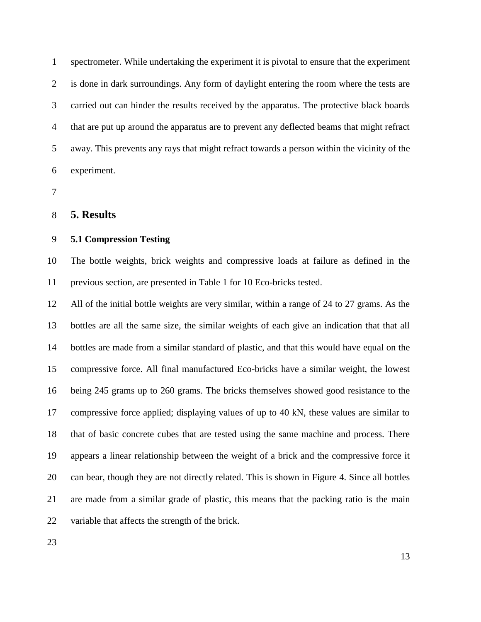spectrometer. While undertaking the experiment it is pivotal to ensure that the experiment is done in dark surroundings. Any form of daylight entering the room where the tests are carried out can hinder the results received by the apparatus. The protective black boards that are put up around the apparatus are to prevent any deflected beams that might refract away. This prevents any rays that might refract towards a person within the vicinity of the experiment.

#### **5. Results**

#### **5.1 Compression Testing**

 The bottle weights, brick weights and compressive loads at failure as defined in the previous section, are presented in Table 1 for 10 Eco-bricks tested.

 All of the initial bottle weights are very similar, within a range of 24 to 27 grams. As the bottles are all the same size, the similar weights of each give an indication that that all bottles are made from a similar standard of plastic, and that this would have equal on the compressive force. All final manufactured Eco-bricks have a similar weight, the lowest being 245 grams up to 260 grams. The bricks themselves showed good resistance to the compressive force applied; displaying values of up to 40 kN, these values are similar to that of basic concrete cubes that are tested using the same machine and process. There appears a linear relationship between the weight of a brick and the compressive force it can bear, though they are not directly related. This is shown in Figure 4. Since all bottles are made from a similar grade of plastic, this means that the packing ratio is the main variable that affects the strength of the brick.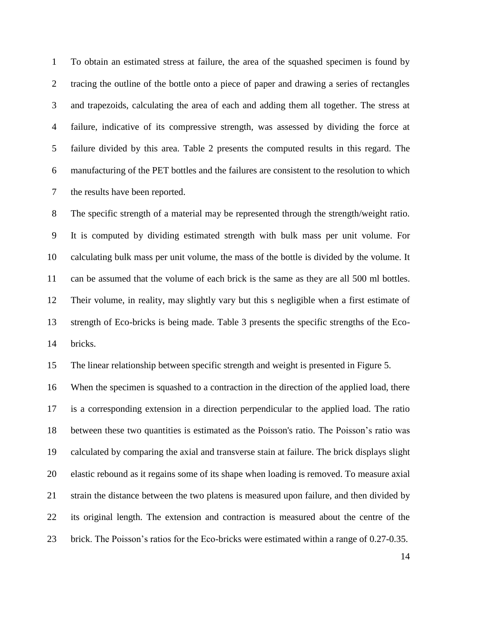To obtain an estimated stress at failure, the area of the squashed specimen is found by tracing the outline of the bottle onto a piece of paper and drawing a series of rectangles and trapezoids, calculating the area of each and adding them all together. The stress at failure, indicative of its compressive strength, was assessed by dividing the force at failure divided by this area. Table 2 presents the computed results in this regard. The manufacturing of the PET bottles and the failures are consistent to the resolution to which the results have been reported.

 The specific strength of a material may be represented through the strength/weight ratio. It is computed by dividing estimated strength with bulk mass per unit volume. For calculating bulk mass per unit volume, the mass of the bottle is divided by the volume. It can be assumed that the volume of each brick is the same as they are all 500 ml bottles. Their volume, in reality, may slightly vary but this s negligible when a first estimate of strength of Eco-bricks is being made. Table 3 presents the specific strengths of the Eco-bricks.

The linear relationship between specific strength and weight is presented in Figure 5.

 When the specimen is squashed to a contraction in the direction of the applied load, there is a corresponding extension in a direction perpendicular to the applied load. The ratio between these two quantities is estimated as the Poisson's ratio. The Poisson's ratio was calculated by comparing the axial and transverse stain at failure. The brick displays slight elastic rebound as it regains some of its shape when loading is removed. To measure axial strain the distance between the two platens is measured upon failure, and then divided by its original length. The extension and contraction is measured about the centre of the brick. The Poisson's ratios for the Eco-bricks were estimated within a range of 0.27-0.35.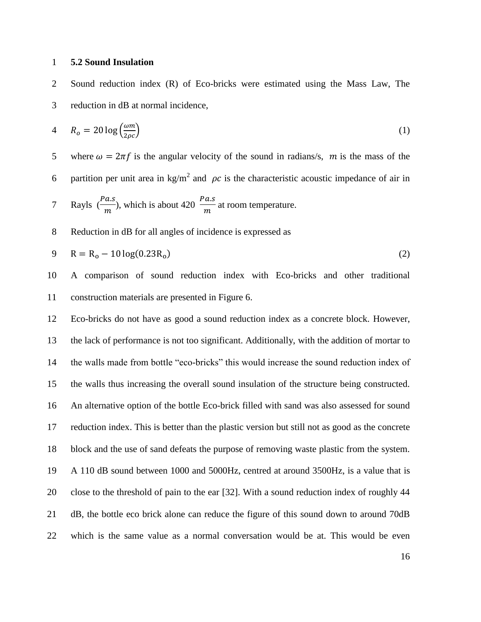#### **5.2 Sound Insulation**

 Sound reduction index (R) of Eco-bricks were estimated using the Mass Law, The reduction in dB at normal incidence,

$$
4 \qquad R_o = 20 \log \left( \frac{\omega m}{2 \rho c} \right) \tag{1}
$$

5 where  $\omega = 2\pi f$  is the angular velocity of the sound in radians/s, m is the mass of the 6 partition per unit area in kg/m<sup>2</sup> and  $\rho c$  is the characteristic acoustic impedance of air in

7 Rayls 
$$
\left(\frac{Pa.s}{m}\right)
$$
, which is about 420  $\frac{Pa.s}{m}$  at room temperature.

Reduction in dB for all angles of incidence is expressed as

$$
9 \t R = R_0 - 10 \log(0.23 R_0) \t (2)
$$

 A comparison of sound reduction index with Eco-bricks and other traditional construction materials are presented in Figure 6.

# Eco-bricks do not have as good a sound reduction index as a concrete block. However, the lack of performance is not too significant. Additionally, with the addition of mortar to the walls made from bottle "eco-bricks" this would increase the sound reduction index of the walls thus increasing the overall sound insulation of the structure being constructed. An alternative option of the bottle Eco-brick filled with sand was also assessed for sound reduction index. This is better than the plastic version but still not as good as the concrete block and the use of sand defeats the purpose of removing waste plastic from the system. A 110 dB sound between 1000 and 5000Hz, centred at around 3500Hz, is a value that is close to the threshold of pain to the ear [32]. With a sound reduction index of roughly 44 dB, the bottle eco brick alone can reduce the figure of this sound down to around 70dB which is the same value as a normal conversation would be at. This would be even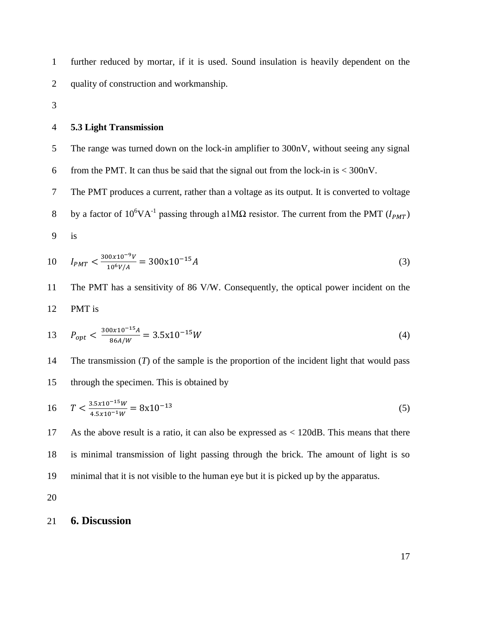further reduced by mortar, if it is used. Sound insulation is heavily dependent on the quality of construction and workmanship.

#### **5.3 Light Transmission**

The range was turned down on the lock-in amplifier to 300nV, without seeing any signal

6 from the PMT. It can thus be said that the signal out from the lock-in is  $\lt$  300nV.

The PMT produces a current, rather than a voltage as its output. It is converted to voltage

- 8 by a factor of 10<sup>6</sup>VA<sup>-1</sup> passing through a1MΩ resistor. The current from the PMT ( $I_{PMT}$ )
- is

$$
10 \tI_{PMT} < \frac{300x10^{-9}V}{10^6V/A} = 300x10^{-15}A
$$
\n(3)

 The PMT has a sensitivity of 86 V/W. Consequently, the optical power incident on the PMT is

$$
13 \t P_{opt} < \frac{300 \times 10^{-15} A}{86 A/W} = 3.5 \times 10^{-15} W \tag{4}
$$

 The transmission (*T*) of the sample is the proportion of the incident light that would pass through the specimen. This is obtained by

$$
16 \t T < \frac{3.5x10^{-15}W}{4.5x10^{-1}W} = 8x10^{-13}
$$
\t(5)

 As the above result is a ratio, it can also be expressed as < 120dB. This means that there is minimal transmission of light passing through the brick. The amount of light is so minimal that it is not visible to the human eye but it is picked up by the apparatus.

## **6. Discussion**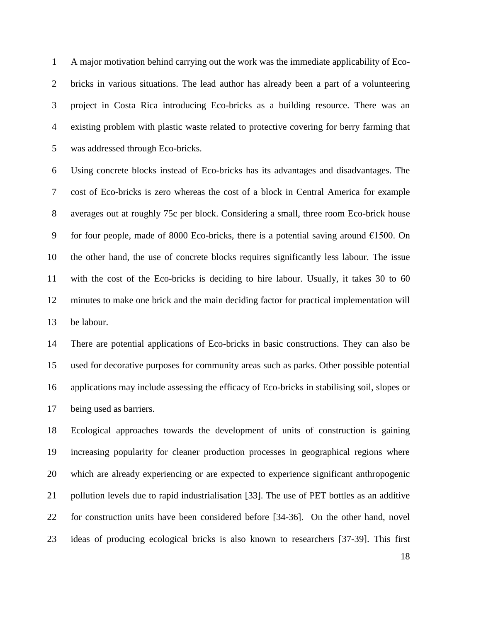A major motivation behind carrying out the work was the immediate applicability of Eco- bricks in various situations. The lead author has already been a part of a volunteering project in Costa Rica introducing Eco-bricks as a building resource. There was an existing problem with plastic waste related to protective covering for berry farming that was addressed through Eco-bricks.

 Using concrete blocks instead of Eco-bricks has its advantages and disadvantages. The cost of Eco-bricks is zero whereas the cost of a block in Central America for example averages out at roughly 75c per block. Considering a small, three room Eco-brick house 9 for four people, made of 8000 Eco-bricks, there is a potential saving around  $\epsilon$ 1500. On the other hand, the use of concrete blocks requires significantly less labour. The issue with the cost of the Eco-bricks is deciding to hire labour. Usually, it takes 30 to 60 minutes to make one brick and the main deciding factor for practical implementation will be labour.

 There are potential applications of Eco-bricks in basic constructions. They can also be used for decorative purposes for community areas such as parks. Other possible potential applications may include assessing the efficacy of Eco-bricks in stabilising soil, slopes or being used as barriers.

 Ecological approaches towards the development of units of construction is gaining increasing popularity for cleaner production processes in geographical regions where which are already experiencing or are expected to experience significant anthropogenic pollution levels due to rapid industrialisation [33]. The use of PET bottles as an additive for construction units have been considered before [34-36]. On the other hand, novel ideas of producing ecological bricks is also known to researchers [37-39]. This first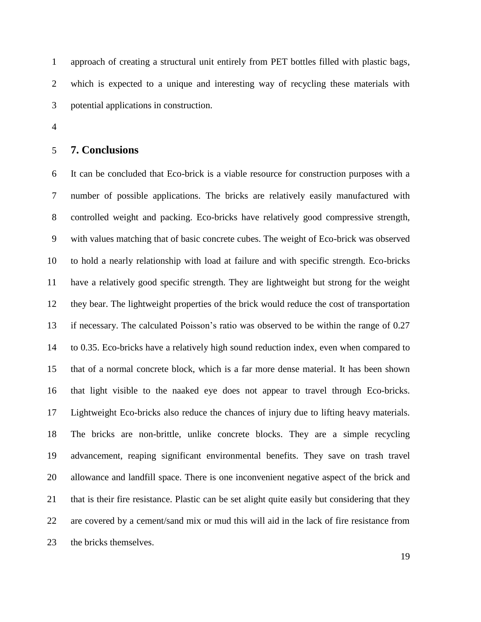approach of creating a structural unit entirely from PET bottles filled with plastic bags, which is expected to a unique and interesting way of recycling these materials with potential applications in construction.

#### **7. Conclusions**

 It can be concluded that Eco-brick is a viable resource for construction purposes with a number of possible applications. The bricks are relatively easily manufactured with controlled weight and packing. Eco-bricks have relatively good compressive strength, with values matching that of basic concrete cubes. The weight of Eco-brick was observed to hold a nearly relationship with load at failure and with specific strength. Eco-bricks have a relatively good specific strength. They are lightweight but strong for the weight they bear. The lightweight properties of the brick would reduce the cost of transportation if necessary. The calculated Poisson's ratio was observed to be within the range of 0.27 to 0.35. Eco-bricks have a relatively high sound reduction index, even when compared to that of a normal concrete block, which is a far more dense material. It has been shown that light visible to the naaked eye does not appear to travel through Eco-bricks. Lightweight Eco-bricks also reduce the chances of injury due to lifting heavy materials. The bricks are non-brittle, unlike concrete blocks. They are a simple recycling advancement, reaping significant environmental benefits. They save on trash travel allowance and landfill space. There is one inconvenient negative aspect of the brick and that is their fire resistance. Plastic can be set alight quite easily but considering that they are covered by a cement/sand mix or mud this will aid in the lack of fire resistance from the bricks themselves.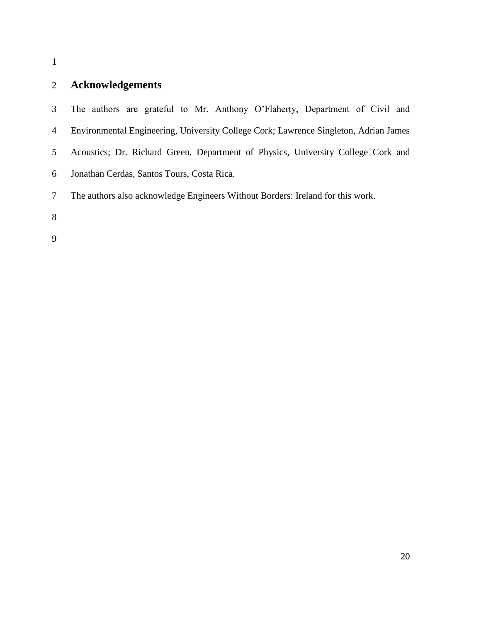# **Acknowledgements**

 The authors are grateful to Mr. Anthony O'Flaherty, Department of Civil and Environmental Engineering, University College Cork; Lawrence Singleton, Adrian James Acoustics; Dr. Richard Green, Department of Physics, University College Cork and Jonathan Cerdas, Santos Tours, Costa Rica. The authors also acknowledge Engineers Without Borders: Ireland for this work.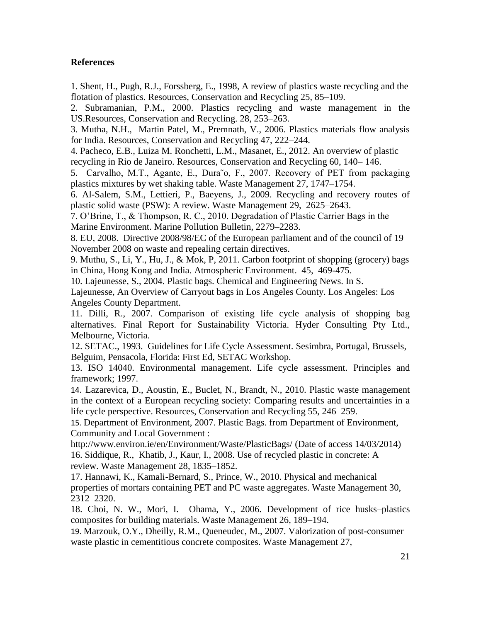## **References**

1. Shent, H., Pugh, R.J., Forssberg, E., 1998, A review of plastics waste recycling and the flotation of plastics. Resources, Conservation and Recycling 25, 85–109.

2. Subramanian, P.M., 2000. Plastics recycling and waste management in the US.Resources, Conservation and Recycling. 28, 253–263.

3. Mutha, N.H., Martin Patel, M., Premnath, V., 2006. Plastics materials flow analysis for India. Resources, Conservation and Recycling 47, 222–244.

4. Pacheco, E.B., Luiza M. Ronchetti, L.M., Masanet, E., 2012. An overview of plastic recycling in Rio de Janeiro. Resources, Conservation and Recycling 60, 140– 146.

5. Carvalho, M.T., Agante, E., Dura˜o, F., 2007. Recovery of PET from packaging plastics mixtures by wet shaking table. Waste Management 27, 1747–1754.

6. Al-Salem, S.M., Lettieri, P., Baeyens, J., 2009. Recycling and recovery routes of plastic solid waste (PSW): A review. Waste Management 29, 2625–2643.

7. O'Brine, T., & Thompson, R. C., 2010. Degradation of Plastic Carrier Bags in the Marine Environment. Marine Pollution Bulletin, 2279–2283.

8. EU, 2008. Directive 2008/98/EC of the European parliament and of the council of 19 November 2008 on waste and repealing certain directives.

9. Muthu, S., Li, Y., Hu, J., & Mok, P, 2011. Carbon footprint of shopping (grocery) bags in China, Hong Kong and India. Atmospheric Environment. 45, 469-475.

10. Lajeunesse, S., 2004. Plastic bags. Chemical and Engineering News. In S.

Lajeunesse, An Overview of Carryout bags in Los Angeles County. Los Angeles: Los Angeles County Department.

11. Dilli, R., 2007. Comparison of existing life cycle analysis of shopping bag alternatives. Final Report for Sustainability Victoria. Hyder Consulting Pty Ltd., Melbourne, Victoria.

12. SETAC., 1993. Guidelines for Life Cycle Assessment. Sesimbra, Portugal, Brussels, Belguim, Pensacola, Florida: First Ed, SETAC Workshop.

13. ISO 14040. Environmental management. Life cycle assessment. Principles and framework; 1997.

14. Lazarevica, D., Aoustin, E., Buclet, N., Brandt, N., 2010. Plastic waste management in the context of a European recycling society: Comparing results and uncertainties in a life cycle perspective. Resources, Conservation and Recycling 55, 246–259.

15. Department of Environment, 2007. Plastic Bags. from Department of Environment, Community and Local Government :

http://www.environ.ie/en/Environment/Waste/PlasticBags/ (Date of access 14/03/2014) 16. Siddique, R., Khatib, J., Kaur, I., 2008. Use of recycled plastic in concrete: A review. Waste Management 28, 1835–1852.

17. Hannawi, K., Kamali-Bernard, S., Prince, W., 2010. Physical and mechanical properties of mortars containing PET and PC waste aggregates. Waste Management 30, 2312–2320.

18. Choi, N. W., Mori, I. Ohama, Y., 2006. Development of rice husks–plastics composites for building materials. Waste Management 26, 189–194.

19. Marzouk, O.Y., Dheilly, R.M., Queneudec, M., 2007. Valorization of post-consumer waste plastic in cementitious concrete composites. Waste Management 27,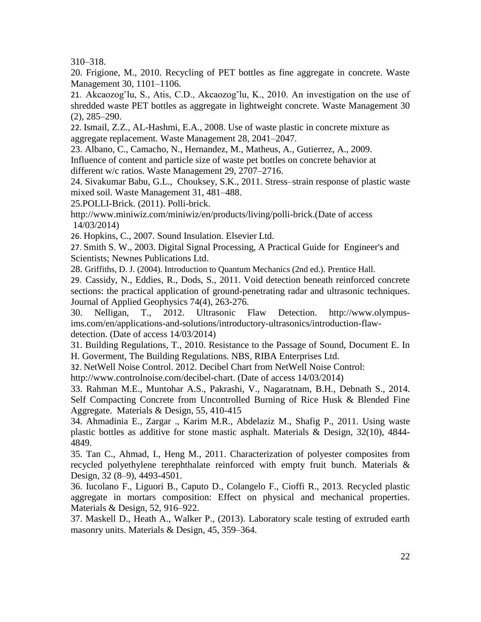310–318.

20. Frigione, M., 2010. Recycling of PET bottles as fine aggregate in concrete. Waste Management 30, 1101–1106.

21. Akcaozog˘lu, S., Atis, C.D., Akcaozog˘lu, K., 2010. An investigation on the use of shredded waste PET bottles as aggregate in lightweight concrete. Waste Management 30 (2), 285–290.

22. Ismail, Z.Z., AL-Hashmi, E.A., 2008. Use of waste plastic in concrete mixture as aggregate replacement. Waste Management 28, 2041–2047.

23. Albano, C., Camacho, N., Hernandez, M., Matheus, A., Gutierrez, A., 2009. Influence of content and particle size of waste pet bottles on concrete behavior at different w/c ratios. Waste Management 29, 2707–2716.

24. Sivakumar Babu, G.L., Chouksey, S.K., 2011. Stress–strain response of plastic waste mixed soil. Waste Management 31, 481–488.

25.POLLI-Brick. (2011). Polli-brick.

http://www.miniwiz.com/miniwiz/en/products/living/polli-brick.(Date of access 14/03/2014)

26. Hopkins, C., 2007. Sound Insulation. Elsevier Ltd.

27. Smith S. W., 2003. Digital Signal Processing, A Practical Guide for Engineer's and Scientists; Newnes Publications Ltd.

28. Griffiths, D. J. (2004). Introduction to Quantum Mechanics (2nd ed.). Prentice Hall.

29. Cassidy, N., Eddies, R., Dods, S., 2011. Void detection beneath reinforced concrete sections: the practical application of ground-penetrating radar and ultrasonic techniques. Journal of Applied Geophysics 74(4), 263-276.

30. Nelligan, T., 2012. Ultrasonic Flaw Detection. http://www.olympusims.com/en/applications-and-solutions/introductory-ultrasonics/introduction-flawdetection. (Date of access 14/03/2014)

31. Building Regulations, T., 2010. Resistance to the Passage of Sound, Document E. In H. Goverment, The Building Regulations. NBS, RIBA Enterprises Ltd.

32. NetWell Noise Control. 2012. Decibel Chart from NetWell Noise Control:

http://www.controlnoise.com/decibel-chart. (Date of access 14/03/2014)

33. Rahman M.E., Muntohar A.S., Pakrashi, V., Nagaratnam, B.H., Debnath S., 2014. Self Compacting Concrete from Uncontrolled Burning of Rice Husk & Blended Fine Aggregate. Materials & Design, 55, 410-415

34. Ahmadinia E., Zargar ., Karim M.R., Abdelaziz M., Shafig P., 2011. Using waste plastic bottles as additive for stone mastic asphalt. Materials & Design, 32(10), 4844- 4849.

35. Tan C., Ahmad, I., Heng M., 2011. Characterization of polyester composites from recycled polyethylene terephthalate reinforced with empty fruit bunch. Materials & Design, 32 (8–9), 4493-4501.

36. Iucolano F., Liguori B., Caputo D., Colangelo F., Cioffi R., 2013. Recycled plastic aggregate in mortars composition: Effect on physical and mechanical properties. Materials & Design, 52, 916–922.

37. Maskell D., Heath A., Walker P., (2013). Laboratory scale testing of extruded earth masonry units. Materials & Design, 45, 359–364.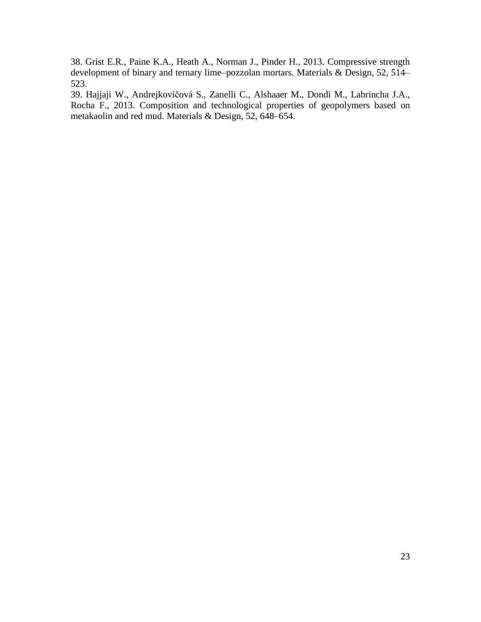38. Grist E.R., Paine K.A., Heath A., Norman J., Pinder H., 2013. Compressive strength development of binary and ternary lime–pozzolan mortars. Materials & Design, 52, 514– 523.

39. Hajjaji W., Andrejkovičová S., Zanelli C., Alshaaer M., Dondi M., Labrincha J.A., Rocha F., 2013. Composition and technological properties of geopolymers based on metakaolin and red mud. Materials & Design, 52, 648–654.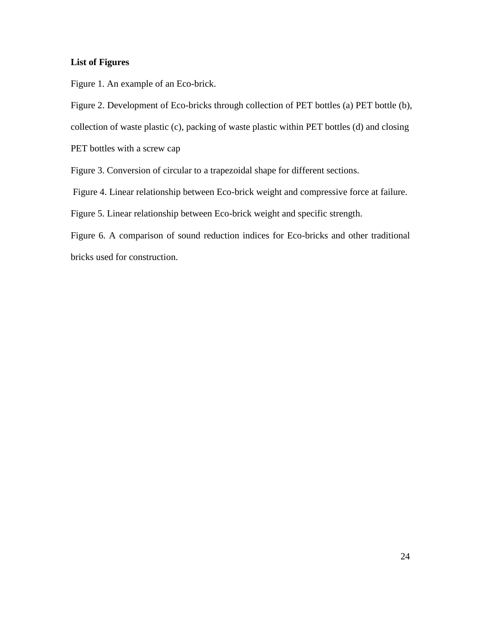## **List of Figures**

Figure 1. An example of an Eco-brick.

Figure 2. Development of Eco-bricks through collection of PET bottles (a) PET bottle (b),

collection of waste plastic (c), packing of waste plastic within PET bottles (d) and closing

PET bottles with a screw cap

Figure 3. Conversion of circular to a trapezoidal shape for different sections.

Figure 4. Linear relationship between Eco-brick weight and compressive force at failure.

Figure 5. Linear relationship between Eco-brick weight and specific strength.

Figure 6. A comparison of sound reduction indices for Eco-bricks and other traditional bricks used for construction.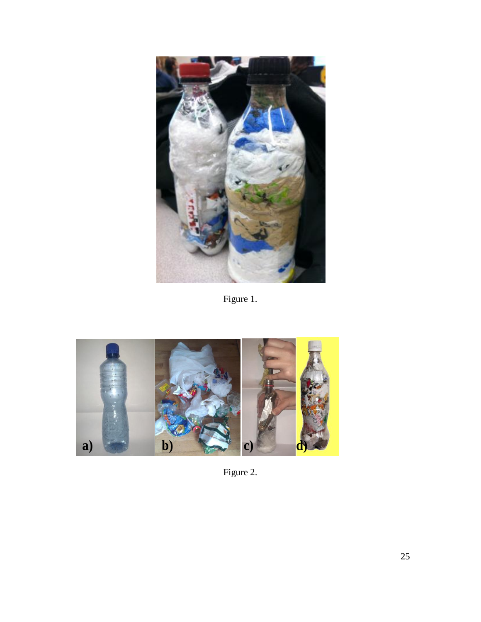

Figure 1.



Figure 2.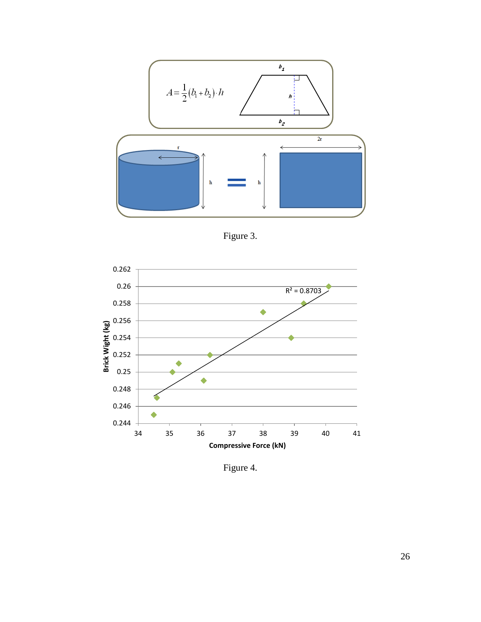

Figure 3.



Figure 4.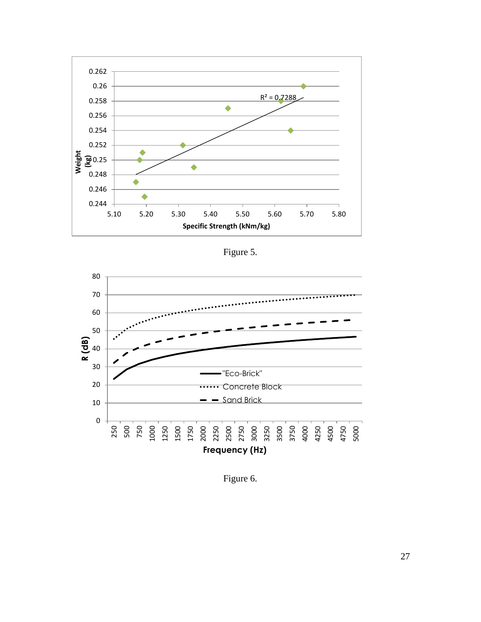

Figure 5.



Figure 6.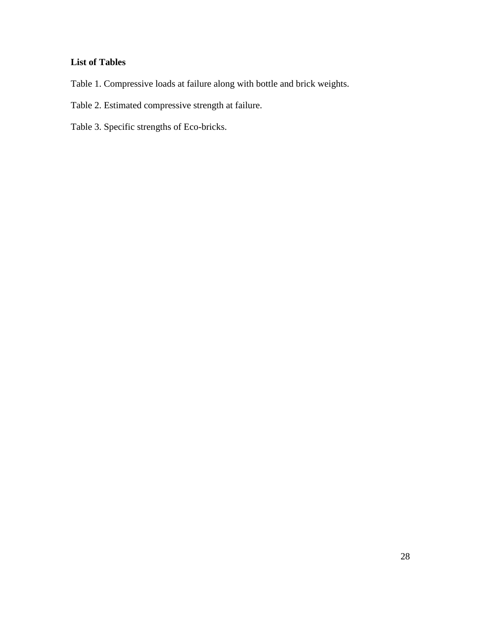# **List of Tables**

- Table 1. Compressive loads at failure along with bottle and brick weights.
- Table 2. Estimated compressive strength at failure.
- Table 3. Specific strengths of Eco-bricks.